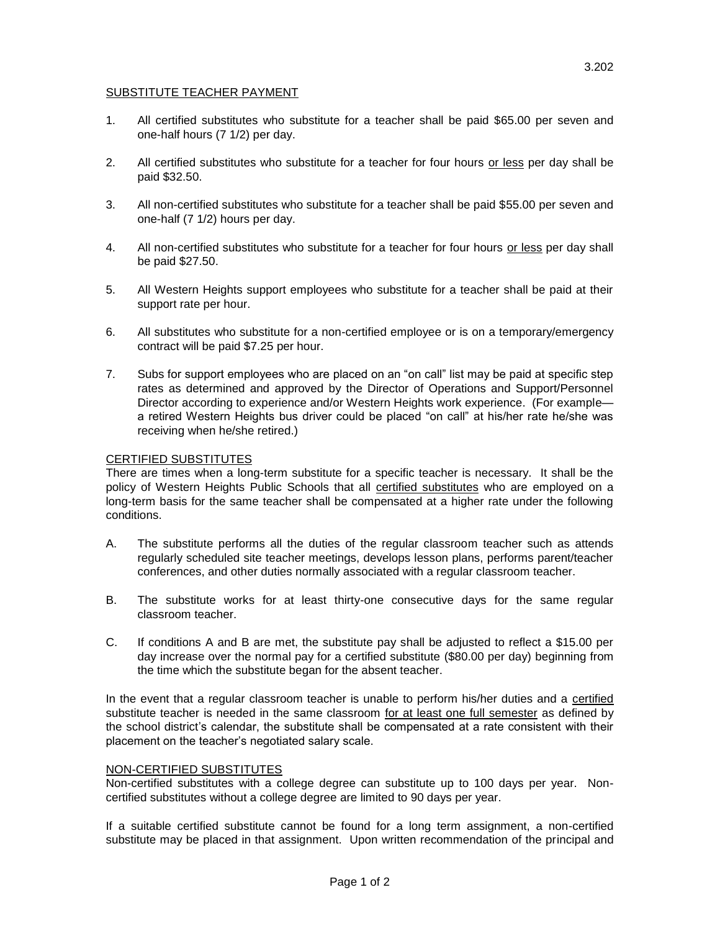- 1. All certified substitutes who substitute for a teacher shall be paid \$65.00 per seven and one-half hours (7 1/2) per day.
- 2. All certified substitutes who substitute for a teacher for four hours or less per day shall be paid \$32.50.
- 3. All non-certified substitutes who substitute for a teacher shall be paid \$55.00 per seven and one-half (7 1/2) hours per day.
- 4. All non-certified substitutes who substitute for a teacher for four hours or less per day shall be paid \$27.50.
- 5. All Western Heights support employees who substitute for a teacher shall be paid at their support rate per hour.
- 6. All substitutes who substitute for a non-certified employee or is on a temporary/emergency contract will be paid \$7.25 per hour.
- 7. Subs for support employees who are placed on an "on call" list may be paid at specific step rates as determined and approved by the Director of Operations and Support/Personnel Director according to experience and/or Western Heights work experience. (For example a retired Western Heights bus driver could be placed "on call" at his/her rate he/she was receiving when he/she retired.)

## CERTIFIED SUBSTITUTES

There are times when a long-term substitute for a specific teacher is necessary. It shall be the policy of Western Heights Public Schools that all certified substitutes who are employed on a long-term basis for the same teacher shall be compensated at a higher rate under the following conditions.

- A. The substitute performs all the duties of the regular classroom teacher such as attends regularly scheduled site teacher meetings, develops lesson plans, performs parent/teacher conferences, and other duties normally associated with a regular classroom teacher.
- B. The substitute works for at least thirty-one consecutive days for the same regular classroom teacher.
- C. If conditions A and B are met, the substitute pay shall be adjusted to reflect a \$15.00 per day increase over the normal pay for a certified substitute (\$80.00 per day) beginning from the time which the substitute began for the absent teacher.

In the event that a regular classroom teacher is unable to perform his/her duties and a certified substitute teacher is needed in the same classroom for at least one full semester as defined by the school district's calendar, the substitute shall be compensated at a rate consistent with their placement on the teacher's negotiated salary scale.

## NON-CERTIFIED SUBSTITUTES

Non-certified substitutes with a college degree can substitute up to 100 days per year. Noncertified substitutes without a college degree are limited to 90 days per year.

If a suitable certified substitute cannot be found for a long term assignment, a non-certified substitute may be placed in that assignment. Upon written recommendation of the principal and